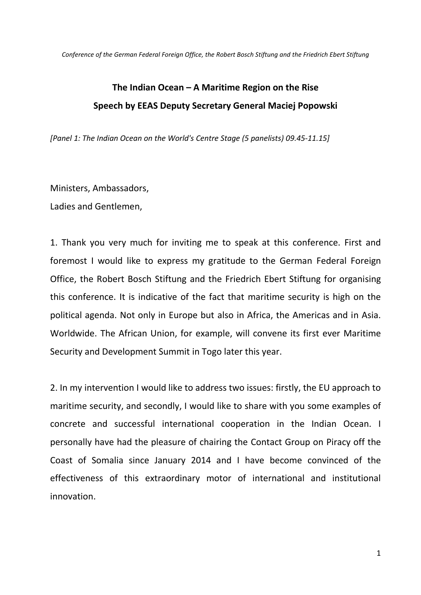## **The Indian Ocean – A Maritime Region on the Rise Speech by EEAS Deputy Secretary General Maciej Popowski**

*[Panel 1: The Indian Ocean on the World's Centre Stage (5 panelists) 09.45-11.15]*

Ministers, Ambassadors,

Ladies and Gentlemen,

1. Thank you very much for inviting me to speak at this conference. First and foremost I would like to express my gratitude to the German Federal Foreign Office, the Robert Bosch Stiftung and the Friedrich Ebert Stiftung for organising this conference. It is indicative of the fact that maritime security is high on the political agenda. Not only in Europe but also in Africa, the Americas and in Asia. Worldwide. The African Union, for example, will convene its first ever Maritime Security and Development Summit in Togo later this year.

2. In my intervention I would like to address two issues: firstly, the EU approach to maritime security, and secondly, I would like to share with you some examples of concrete and successful international cooperation in the Indian Ocean. I personally have had the pleasure of chairing the Contact Group on Piracy off the Coast of Somalia since January 2014 and I have become convinced of the effectiveness of this extraordinary motor of international and institutional innovation.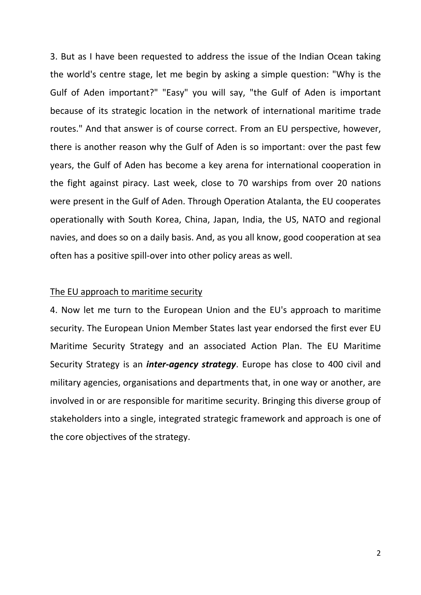3. But as I have been requested to address the issue of the Indian Ocean taking the world's centre stage, let me begin by asking a simple question: "Why is the Gulf of Aden important?" "Easy" you will say, "the Gulf of Aden is important because of its strategic location in the network of international maritime trade routes." And that answer is of course correct. From an EU perspective, however, there is another reason why the Gulf of Aden is so important: over the past few years, the Gulf of Aden has become a key arena for international cooperation in the fight against piracy. Last week, close to 70 warships from over 20 nations were present in the Gulf of Aden. Through Operation Atalanta, the EU cooperates operationally with South Korea, China, Japan, India, the US, NATO and regional navies, and does so on a daily basis. And, as you all know, good cooperation at sea often has a positive spill-over into other policy areas as well.

## The EU approach to maritime security

4. Now let me turn to the European Union and the EU's approach to maritime security. The European Union Member States last year endorsed the first ever EU Maritime Security Strategy and an associated Action Plan. The EU Maritime Security Strategy is an *inter-agency strategy*. Europe has close to 400 civil and military agencies, organisations and departments that, in one way or another, are involved in or are responsible for maritime security. Bringing this diverse group of stakeholders into a single, integrated strategic framework and approach is one of the core objectives of the strategy.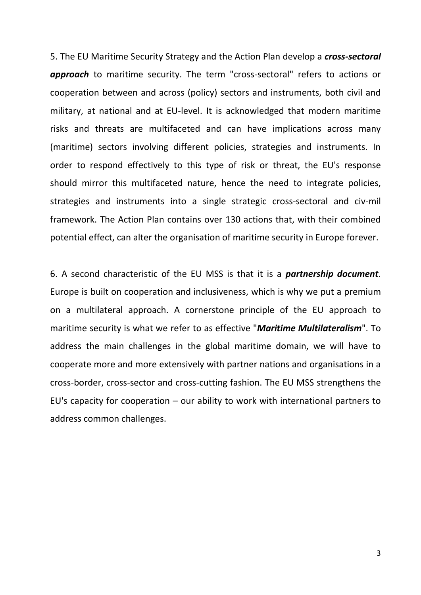5. The EU Maritime Security Strategy and the Action Plan develop a *cross-sectoral approach* to maritime security. The term "cross-sectoral" refers to actions or cooperation between and across (policy) sectors and instruments, both civil and military, at national and at EU-level. It is acknowledged that modern maritime risks and threats are multifaceted and can have implications across many (maritime) sectors involving different policies, strategies and instruments. In order to respond effectively to this type of risk or threat, the EU's response should mirror this multifaceted nature, hence the need to integrate policies, strategies and instruments into a single strategic cross-sectoral and civ-mil framework. The Action Plan contains over 130 actions that, with their combined potential effect, can alter the organisation of maritime security in Europe forever.

6. A second characteristic of the EU MSS is that it is a *partnership document*. Europe is built on cooperation and inclusiveness, which is why we put a premium on a multilateral approach. A cornerstone principle of the EU approach to maritime security is what we refer to as effective "*Maritime Multilateralism*". To address the main challenges in the global maritime domain, we will have to cooperate more and more extensively with partner nations and organisations in a cross-border, cross-sector and cross-cutting fashion. The EU MSS strengthens the EU's capacity for cooperation – our ability to work with international partners to address common challenges.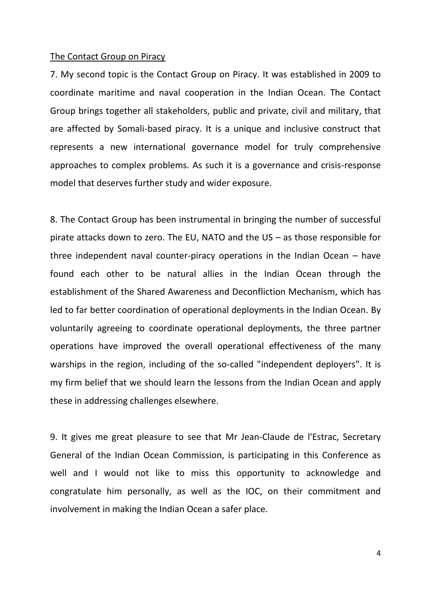## The Contact Group on Piracy

7. My second topic is the Contact Group on Piracy. It was established in 2009 to coordinate maritime and naval cooperation in the Indian Ocean. The Contact Group brings together all stakeholders, public and private, civil and military, that are affected by Somali-based piracy. It is a unique and inclusive construct that represents a new international governance model for truly comprehensive approaches to complex problems. As such it is a governance and crisis-response model that deserves further study and wider exposure.

8. The Contact Group has been instrumental in bringing the number of successful pirate attacks down to zero. The EU, NATO and the US – as those responsible for three independent naval counter-piracy operations in the Indian Ocean – have found each other to be natural allies in the Indian Ocean through the establishment of the Shared Awareness and Deconfliction Mechanism, which has led to far better coordination of operational deployments in the Indian Ocean. By voluntarily agreeing to coordinate operational deployments, the three partner operations have improved the overall operational effectiveness of the many warships in the region, including of the so-called "independent deployers". It is my firm belief that we should learn the lessons from the Indian Ocean and apply these in addressing challenges elsewhere.

9. It gives me great pleasure to see that Mr Jean-Claude de l'Estrac, Secretary General of the Indian Ocean Commission, is participating in this Conference as well and I would not like to miss this opportunity to acknowledge and congratulate him personally, as well as the IOC, on their commitment and involvement in making the Indian Ocean a safer place.

4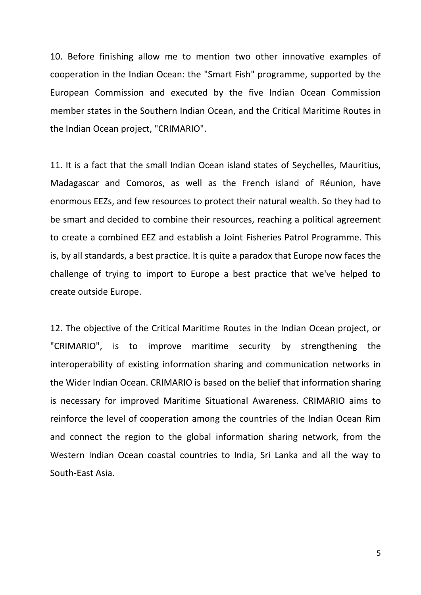10. Before finishing allow me to mention two other innovative examples of cooperation in the Indian Ocean: the "Smart Fish" programme, supported by the European Commission and executed by the five Indian Ocean Commission member states in the Southern Indian Ocean, and the Critical Maritime Routes in the Indian Ocean project, "CRIMARIO".

11. It is a fact that the small Indian Ocean island states of Seychelles, Mauritius, Madagascar and Comoros, as well as the French island of Réunion, have enormous EEZs, and few resources to protect their natural wealth. So they had to be smart and decided to combine their resources, reaching a political agreement to create a combined EEZ and establish a Joint Fisheries Patrol Programme. This is, by all standards, a best practice. It is quite a paradox that Europe now faces the challenge of trying to import to Europe a best practice that we've helped to create outside Europe.

12. The objective of the Critical Maritime Routes in the Indian Ocean project, or "CRIMARIO", is to improve maritime security by strengthening the interoperability of existing information sharing and communication networks in the Wider Indian Ocean. CRIMARIO is based on the belief that information sharing is necessary for improved Maritime Situational Awareness. CRIMARIO aims to reinforce the level of cooperation among the countries of the Indian Ocean Rim and connect the region to the global information sharing network, from the Western Indian Ocean coastal countries to India, Sri Lanka and all the way to South-East Asia.